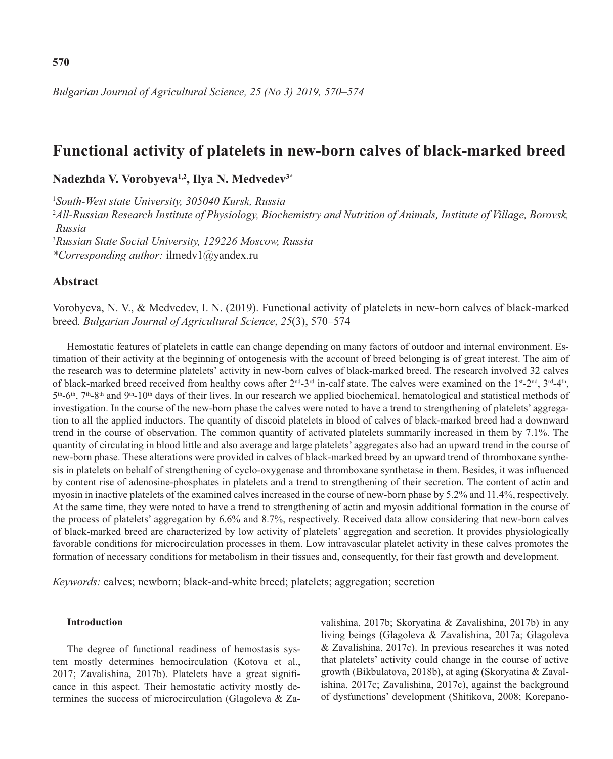# **Functional activity of platelets in new-born calves of black-marked breed**

**Nadezhda V. Vorobyeva1,2, Ilya N. Medvedev3\***

1 *South-West state University, 305040 Kursk, Russia*

<sup>2</sup>*All-Russian Research Institute of Physiology, Biochemistry and Nutrition of Animals, Institute of Village, Borovsk, Russia*

3 *Russian State Social University, 129226 Moscow, Russia \*Corresponding author:* ilmedv1@yandex.ru

## **Abstract**

Vorobyeva, N. V., & Medvedev, I. N. (2019). Functional activity of platelets in new-born calves of black-marked breed*. Bulgarian Journal of Agricultural Science*, *25*(3), 570–574

Hemostatic features of platelets in cattle can change depending on many factors of outdoor and internal environment. Estimation of their activity at the beginning of ontogenesis with the account of breed belonging is of great interest. The aim of the research was to determine platelets' activity in new-born calves of black-marked breed. The research involved 32 calves of black-marked breed received from healthy cows after  $2^{nd}$ -3<sup>rd</sup> in-calf state. The calves were examined on the 1<sup>st</sup>-2<sup>nd</sup>, 3<sup>rd</sup>-4<sup>th</sup>,  $5<sup>th</sup>$ -6<sup>th</sup>,  $7<sup>th</sup>$ -8<sup>th</sup> and 9<sup>th</sup>-10<sup>th</sup> days of their lives. In our research we applied biochemical, hematological and statistical methods of investigation. In the course of the new-born phase the calves were noted to have a trend to strengthening of platelets' aggregation to all the applied inductors. The quantity of discoid platelets in blood of calves of black-marked breed had a downward trend in the course of observation. The common quantity of activated platelets summarily increased in them by 7.1%. The quantity of circulating in blood little and also average and large platelets' aggregates also had an upward trend in the course of new-born phase. These alterations were provided in calves of black-marked breed by an upward trend of thromboxane synthesis in platelets on behalf of strengthening of cyclo-oxygenase and thromboxane synthetase in them. Besides, it was influenced by content rise of adenosine-phosphates in platelets and a trend to strengthening of their secretion. The content of actin and myosin in inactive platelets of the examined calves increased in the course of new-born phase by 5.2% and 11.4%, respectively. At the same time, they were noted to have a trend to strengthening of actin and myosin additional formation in the course of the process of platelets' aggregation by 6.6% and 8.7%, respectively. Received data allow considering that new-born calves of black-marked breed are characterized by low activity of platelets' aggregation and secretion. It provides physiologically favorable conditions for microcirculation processes in them. Low intravascular platelet activity in these calves promotes the formation of necessary conditions for metabolism in their tissues and, consequently, for their fast growth and development.

*Кеуwords:* calves; newborn; black-and-white breed; platelets; aggregation; secretion

#### **Introduction**

The degree of functional readiness of hemostasis system mostly determines hemocirculation (Kotova et al., 2017; Zavalishina, 2017b). Platelets have a great significance in this aspect. Their hemostatic activity mostly determines the success of microcirculation (Glagoleva & Zavalishina, 2017b; Skoryatina & Zavalishina, 2017b) in any living beings (Glagoleva & Zavalishina, 2017a; Glagoleva & Zavalishina, 2017c). In previous researches it was noted that platelets' activity could change in the course of active growth (Bikbulatova, 2018b), at aging (Skoryatina & Zavalishina, 2017c; Zavalishina, 2017c), against the background of dysfunctions' development (Shitikova, 2008; Korepano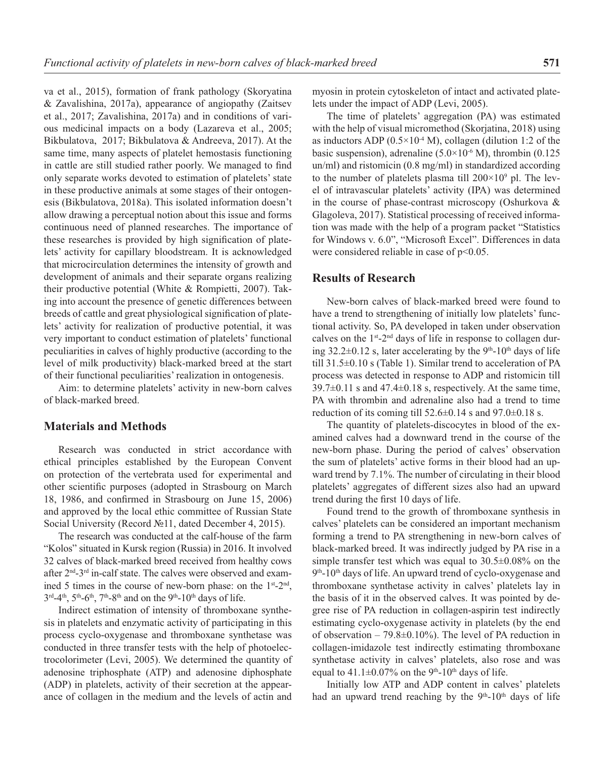va et al., 2015), formation of frank pathology (Skoryatina & Zavalishina, 2017a), appearance of angiopathy (Zaitsev et al., 2017; Zavalishina, 2017a) and in conditions of various medicinal impacts on a body (Lazareva et al., 2005; Bikbulatova, 2017; Bikbulatova & Andreeva, 2017). At the same time, many aspects of platelet hemostasis functioning in cattle are still studied rather poorly. We managed to find only separate works devoted to estimation of platelets' state in these productive animals at some stages of their ontogenesis (Bikbulatova, 2018a). This isolated information doesn't allow drawing a perceptual notion about this issue and forms continuous need of planned researches. The importance of these researches is provided by high signification of platelets' activity for capillary bloodstream. It is acknowledged that microcirculation determines the intensity of growth and development of animals and their separate organs realizing their productive potential (White & Rompietti, 2007). Taking into account the presence of genetic differences between breeds of cattle and great physiological signification of platelets' activity for realization of productive potential, it was very important to conduct estimation of platelets' functional peculiarities in calves of highly productive (according to the level of milk productivity) black-marked breed at the start of their functional peculiarities' realization in ontogenesis.

Aim: to determine platelets' activity in new-born calves of black-marked breed.

### **Materials and Methods**

Research was conducted in strict accordance with ethical principles established by the European Convent on protection of the vertebrata used for experimental and other scientific purposes (adopted in Strasbourg on March 18, 1986, and confirmed in Strasbourg on June  $15$ , 2006) and approved by the local ethic committee of Russian State Social University (Record №11, dated December 4, 2015).

The research was conducted at the calf-house of the farm "Kolos" situated in Kursk region (Russia) in 2016. It involved 32 calves of black-marked breed received from healthy cows after 2<sup>nd</sup>-3<sup>rd</sup> in-calf state. The calves were observed and examined 5 times in the course of new-born phase: on the 1<sup>st</sup>-2<sup>nd</sup>,  $3<sup>rd</sup>-4<sup>th</sup>$ ,  $5<sup>th</sup>-6<sup>th</sup>$ ,  $7<sup>th</sup>-8<sup>th</sup>$  and on the 9<sup>th</sup>-10<sup>th</sup> days of life.

Indirect estimation of intensity of thromboxane synthesis in platelets and enzymatic activity of participating in this process cyclo-oxygenase and thromboxane synthetase was conducted in three transfer tests with the help of photoelectrocolorimeter (Levi, 2005). We determined the quantity of adenosine triphosphate (ATP) and adenosine diphosphate (ADP) in platelets, activity of their secretion at the appearance of collagen in the medium and the levels of actin and myosin in protein cytoskeleton of intact and activated platelets under the impact of ADP (Levi, 2005).

The time of platelets' aggregation (PA) was estimated with the help of visual micromethod (Skorjatina, 2018) using as inductors ADP  $(0.5 \times 10^{-4} \text{ M})$ , collagen (dilution 1:2 of the basic suspension), adrenaline  $(5.0\times10^{-6} \text{ M})$ , thrombin  $(0.125$ un/ml) and ristomicin (0.8 mg/ml) in standardized according to the number of platelets plasma till  $200\times10^9$  pl. The level of intravascular platelets' activity (IPA) was determined in the course of phase-contrast microscopy (Oshurkova & Glagoleva, 2017). Statistical processing of received information was made with the help of a program packet "Statistics for Windows v. 6.0", "Microsoft Excel". Differences in data were considered reliable in case of  $p<0.05$ .

#### **Results of Research**

New-born calves of black-marked breed were found to have a trend to strengthening of initially low platelets' functional activity. So, PA developed in taken under observation calves on the  $1<sup>st</sup> - 2<sup>nd</sup>$  days of life in response to collagen during  $32.2\pm0.12$  s, later accelerating by the 9<sup>th</sup>-10<sup>th</sup> days of life till 31.5±0.10 s (Table 1). Similar trend to acceleration of PA process was detected in response to ADP and ristomicin till  $39.7\pm0.11$  s and  $47.4\pm0.18$  s, respectively. At the same time, PA with thrombin and adrenaline also had a trend to time reduction of its coming till  $52.6\pm0.14$  s and  $97.0\pm0.18$  s.

The quantity of platelets-discocytes in blood of the examined calves had a downward trend in the course of the new-born phase. During the period of calves' observation the sum of platelets' active forms in their blood had an upward trend by 7.1%. The number of circulating in their blood platelets' aggregates of different sizes also had an upward trend during the first 10 days of life.

Found trend to the growth of thromboxane synthesis in calves' platelets can be considered an important mechanism forming a trend to PA strengthening in new-born calves of black-marked breed. It was indirectly judged by PA rise in a simple transfer test which was equal to 30.5±0.08% on the  $9<sup>th</sup>$ -10<sup>th</sup> days of life. An upward trend of cyclo-oxygenase and thromboxane synthetase activity in calves' platelets lay in the basis of it in the observed calves. It was pointed by degree rise of PA reduction in collagen-aspirin test indirectly estimating cyclo-oxygenase activity in platelets (by the end of observation – 79.8 $\pm$ 0.10%). The level of PA reduction in collagen-imidazole test indirectly estimating thromboxane synthetase activity in calves' platelets, also rose and was equal to  $41.1\pm0.07\%$  on the 9<sup>th</sup>-10<sup>th</sup> days of life.

Initially low ATP and ADP content in calves' platelets had an upward trend reaching by the  $9<sup>th</sup>-10<sup>th</sup>$  days of life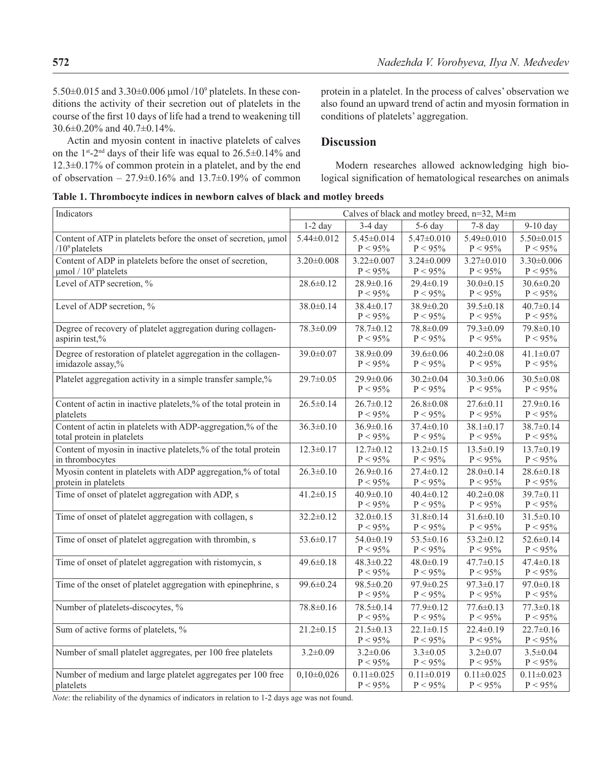$5.50\pm0.015$  and  $3.30\pm0.006$  µmol  $/10<sup>9</sup>$  platelets. In these conditions the activity of their secretion out of platelets in the course of the first 10 days of life had a trend to weakening till 30.6±0.20% and 40.7±0.14%.

Actin and myosin content in inactive platelets of calves on the 1<sup>st</sup>-2<sup>nd</sup> days of their life was equal to  $26.5\pm0.14\%$  and 12.3±0.17% of common protein in a platelet, and by the end of observation –  $27.9 \pm 0.16\%$  and  $13.7 \pm 0.19\%$  of common protein in a platelet. In the process of calves' observation we also found an upward trend of actin and myosin formation in conditions of platelets' aggregation.

## **Discussion**

Modern researches allowed acknowledging high biological signification of hematological researches on animals

|  |  |  |  |  |  | Table 1. Thrombocyte indices in newborn calves of black and motley breeds |
|--|--|--|--|--|--|---------------------------------------------------------------------------|
|--|--|--|--|--|--|---------------------------------------------------------------------------|

| Indicators                                                                                          | Calves of black and motley breed, n=32, M±m |                                |                                |                                |                                |  |  |
|-----------------------------------------------------------------------------------------------------|---------------------------------------------|--------------------------------|--------------------------------|--------------------------------|--------------------------------|--|--|
|                                                                                                     | $1-2$ day                                   | $3-4$ day                      | 5-6 day                        | $7-8$ day                      | 9-10 day                       |  |  |
| Content of ATP in platelets before the onset of secretion, µmol<br>$/10^9$ platelets                | 5.44±0.012                                  | $5.45 \pm 0.014$<br>$P < 95\%$ | $5.47 \pm 0.010$<br>$P < 95\%$ | $5.49 \pm 0.010$<br>$P < 95\%$ | $5.50 \pm 0.015$<br>$P < 95\%$ |  |  |
| Content of ADP in platelets before the onset of secretion,<br>$\mu$ mol / 10 <sup>9</sup> platelets | $3.20 \pm 0.008$                            | $3.22 \pm 0.007$<br>$P < 95\%$ | $3.24 \pm 0.009$<br>$P < 95\%$ | $3.27 \pm 0.010$<br>$P < 95\%$ | $3.30 \pm 0.006$<br>$P < 95\%$ |  |  |
| Level of ATP secretion, %                                                                           | 28.6±0.12                                   | 28.9±0.16<br>$P < 95\%$        | 29.4±0.19<br>$P < 95\%$        | $30.0 \pm 0.15$<br>$P < 95\%$  | 30.6±0.20<br>$P < 95\%$        |  |  |
| Level of ADP secretion, %                                                                           | $38.0 \pm 0.14$                             | $38.4 \pm 0.17$<br>$P < 95\%$  | 38.9±0.20<br>$P < 95\%$        | 39.5±0.18<br>$P < 95\%$        | $40.7 \pm 0.14$<br>$P < 95\%$  |  |  |
| Degree of recovery of platelet aggregation during collagen-<br>aspirin test,%                       | 78.3±0.09                                   | 78.7±0.12<br>$P < 95\%$        | 78.8±0.09<br>$P < 95\%$        | 79.3±0.09<br>$P < 95\%$        | 79.8±0.10<br>$P < 95\%$        |  |  |
| Degree of restoration of platelet aggregation in the collagen-<br>imidazole assay,%                 | 39.0±0.07                                   | 38.9±0.09<br>$P < 95\%$        | 39.6±0.06<br>$P < 95\%$        | $40.2 \pm 0.08$<br>$P < 95\%$  | $41.1 \pm 0.07$<br>$P < 95\%$  |  |  |
| Platelet aggregation activity in a simple transfer sample,%                                         | 29.7±0.05                                   | 29.9±0.06<br>$P < 95\%$        | $30.2 \pm 0.04$<br>$P < 95\%$  | $30.3 \pm 0.06$<br>$P < 95\%$  | $30.5 \pm 0.08$<br>$P < 95\%$  |  |  |
| Content of actin in inactive platelets,% of the total protein in<br>platelets                       | $26.5 \pm 0.14$                             | $26.7 \pm 0.12$<br>$P < 95\%$  | $26.8 \pm 0.08$<br>$P < 95\%$  | $27.6 \pm 0.11$<br>$P < 95\%$  | $27.9 \pm 0.16$<br>$P < 95\%$  |  |  |
| Content of actin in platelets with ADP-aggregation,% of the<br>total protein in platelets           | $36.3 \pm 0.10$                             | $36.9 \pm 0.16$<br>$P < 95\%$  | $37.4 \pm 0.10$<br>$P < 95\%$  | $38.1 \pm 0.17$<br>$P < 95\%$  | $38.7 \pm 0.14$<br>$P < 95\%$  |  |  |
| Content of myosin in inactive platelets,% of the total protein<br>in thrombocytes                   | $12.3 \pm 0.17$                             | $12.7 \pm 0.12$<br>$P < 95\%$  | $13.2 \pm 0.15$<br>$P < 95\%$  | $13.5 \pm 0.19$<br>$P < 95\%$  | $13.7 \pm 0.19$<br>$P < 95\%$  |  |  |
| Myosin content in platelets with ADP aggregation,% of total<br>protein in platelets                 | $26.3 \pm 0.10$                             | $26.9 \pm 0.16$<br>$P < 95\%$  | $27.4 \pm 0.12$<br>$P < 95\%$  | $28.0 \pm 0.14$<br>$P < 95\%$  | $28.6 \pm 0.18$<br>$P < 95\%$  |  |  |
| Time of onset of platelet aggregation with ADP, s                                                   | $41.2 \pm 0.15$                             | $40.9 \pm 0.10$<br>$P < 95\%$  | $40.4 \pm 0.12$<br>$P < 95\%$  | $40.2 \pm 0.08$<br>$P < 95\%$  | $39.7 \pm 0.11$<br>$P < 95\%$  |  |  |
| Time of onset of platelet aggregation with collagen, s                                              | $32.2 \pm 0.12$                             | $32.0 \pm 0.15$<br>$P < 95\%$  | $31.8 \pm 0.14$<br>$P < 95\%$  | $31.6 \pm 0.10$<br>$P < 95\%$  | $31.5 \pm 0.10$<br>$P < 95\%$  |  |  |
| Time of onset of platelet aggregation with thrombin, s                                              | 53.6±0.17                                   | $54.0 \pm 0.19$<br>$P < 95\%$  | $53.5 \pm 0.16$<br>$P < 95\%$  | $53.2 \pm 0.12$<br>$P < 95\%$  | $52.6 \pm 0.14$<br>$P < 95\%$  |  |  |
| Time of onset of platelet aggregation with ristomycin, s                                            | $49.6 \pm 0.18$                             | $48.3 \pm 0.22$<br>$P < 95\%$  | $48.0 \pm 0.19$<br>$P < 95\%$  | $47.7 \pm 0.15$<br>$P < 95\%$  | $47.4 \pm 0.18$<br>$P < 95\%$  |  |  |
| Time of the onset of platelet aggregation with epinephrine, s                                       | 99.6±0.24                                   | 98.5±0.20<br>$P < 95\%$        | 97.9±0.25<br>$P < 95\%$        | $97.3 \pm 0.17$<br>$P < 95\%$  | $97.0 \pm 0.18$<br>$P < 95\%$  |  |  |
| Number of platelets-discocytes, %                                                                   | 78.8±0.16                                   | $78.5 \pm 0.14$<br>$P < 95\%$  | $77.9 \pm 0.12$<br>$P < 95\%$  | $77.6 \pm 0.13$<br>$P < 95\%$  | $77.3 \pm 0.18$<br>$P < 95\%$  |  |  |
| Sum of active forms of platelets, %                                                                 | $21.2 \pm 0.15$                             | $21.5 \pm 0.13$<br>$P < 95\%$  | $22.1 \pm 0.15$<br>$P < 95\%$  | $22.4 \pm 0.19$<br>$P < 95\%$  | $22.7 \pm 0.16$<br>$P < 95\%$  |  |  |
| Number of small platelet aggregates, per 100 free platelets                                         | $3.2 \pm 0.09$                              | $3.2 \pm 0.06$<br>$P < 95\%$   | $3.3 \pm 0.05$<br>$P < 95\%$   | $3.2 \pm 0.07$<br>$P < 95\%$   | $3.5 \pm 0.04$<br>$P < 95\%$   |  |  |
| Number of medium and large platelet aggregates per 100 free<br>platelets                            | $0,10\pm0,026$                              | $0.11 \pm 0.025$<br>$P < 95\%$ | $0.11 \pm 0.019$<br>$P < 95\%$ | $0.11 \pm 0.025$<br>$P < 95\%$ | $0.11 \pm 0.023$<br>$P < 95\%$ |  |  |

*Note*: the reliability of the dynamics of indicators in relation to 1-2 days age was not found.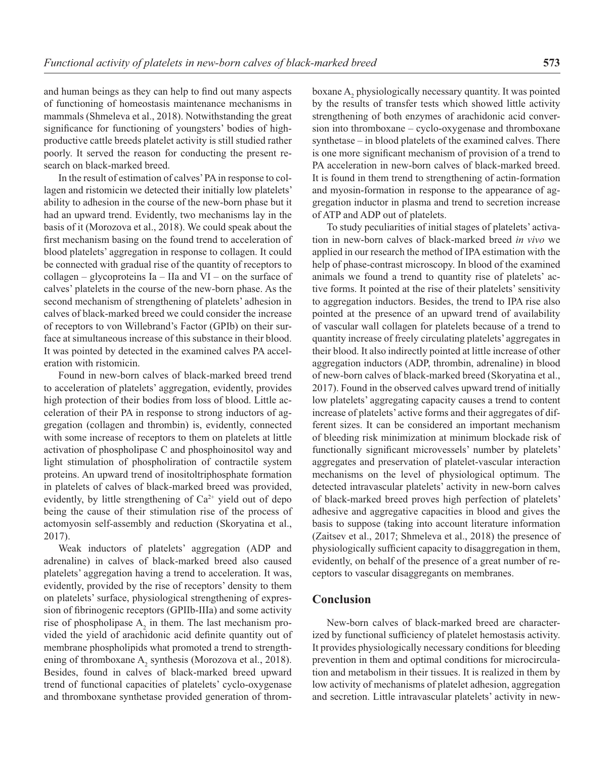and human beings as they can help to find out many aspects of functioning of homeostasis maintenance mechanisms in mammals (Shmeleva et al., 2018). Notwithstanding the great significance for functioning of youngsters' bodies of highproductive cattle breeds platelet activity is still studied rather poorly. It served the reason for conducting the present research on black-marked breed.

In the result of estimation of calves' PA in response to collagen and ristomicin we detected their initially low platelets' ability to adhesion in the course of the new-born phase but it had an upward trend. Evidently, two mechanisms lay in the basis of it (Morozova et al., 2018). We could speak about the first mechanism basing on the found trend to acceleration of blood platelets' aggregation in response to collagen. It could be connected with gradual rise of the quantity of receptors to collagen – glycoproteins Ia – IIa and VI – on the surface of calves' platelets in the course of the new-born phase. As the second mechanism of strengthening of platelets' adhesion in calves of black-marked breed we could consider the increase of receptors to von Willebrand's Factor (GPIb) on their surface at simultaneous increase of this substance in their blood. It was pointed by detected in the examined calves PA acceleration with ristomicin.

Found in new-born calves of black-marked breed trend to acceleration of platelets' aggregation, evidently, provides high protection of their bodies from loss of blood. Little acceleration of their PA in response to strong inductors of aggregation (collagen and thrombin) is, evidently, connected with some increase of receptors to them on platelets at little activation of phospholipase C and phosphoinositol way and light stimulation of phospholiration of contractile system proteins. An upward trend of inositoltriphosphate formation in platelets of calves of black-marked breed was provided, evidently, by little strengthening of  $Ca^{2+}$  yield out of depo being the cause of their stimulation rise of the process of actomyosin self-assembly and reduction (Skoryatina et al., 2017).

Weak inductors of platelets' aggregation (ADP and adrenaline) in calves of black-marked breed also caused platelets' aggregation having a trend to acceleration. It was, evidently, provided by the rise of receptors' density to them on platelets' surface, physiological strengthening of expression of fibrinogenic receptors (GPIIb-IIIa) and some activity rise of phospholipase  $A_2$  in them. The last mechanism provided the yield of arachidonic acid definite quantity out of membrane phospholipids what promoted a trend to strengthening of thromboxane  $A_2$  synthesis (Morozova et al., 2018). Besides, found in calves of black-marked breed upward trend of functional capacities of platelets' cyclo-oxygenase and thromboxane synthetase provided generation of throm-

boxane  $A_2$  physiologically necessary quantity. It was pointed by the results of transfer tests which showed little activity strengthening of both enzymes of arachidonic acid conversion into thromboxane – cyclo-oxygenase and thromboxane synthetase – in blood platelets of the examined calves. There is one more significant mechanism of provision of a trend to PA acceleration in new-born calves of black-marked breed. It is found in them trend to strengthening of actin-formation and myosin-formation in response to the appearance of aggregation inductor in plasma and trend to secretion increase of ATP and ADP out of platelets.

To study peculiarities of initial stages of platelets' activation in new-born calves of black-marked breed *in vivo* we applied in our research the method of IPA estimation with the help of phase-contrast microscopy. In blood of the examined animals we found a trend to quantity rise of platelets' active forms. It pointed at the rise of their platelets' sensitivity to aggregation inductors. Besides, the trend to IPA rise also pointed at the presence of an upward trend of availability of vascular wall collagen for platelets because of a trend to quantity increase of freely circulating platelets' aggregates in their blood. It also indirectly pointed at little increase of other aggregation inductors (ADP, thrombin, adrenaline) in blood of new-born calves of black-marked breed (Skoryatina et al., 2017). Found in the observed calves upward trend of initially low platelets' aggregating capacity causes a trend to content increase of platelets' active forms and their aggregates of different sizes. It can be considered an important mechanism of bleeding risk minimization at minimum blockade risk of functionally significant microvessels' number by platelets' aggregates and preservation of platelet-vascular interaction mechanisms on the level of physiological optimum. The detected intravascular platelets' activity in new-born calves of black-marked breed proves high perfection of platelets' adhesive and aggregative capacities in blood and gives the basis to suppose (taking into account literature information (Zaitsev et al., 2017; Shmeleva et al., 2018) the presence of physiologically sufficient capacity to disaggregation in them, evidently, on behalf of the presence of a great number of receptors to vascular disaggregants on membranes.

## **Conclusion**

New-born calves of black-marked breed are characterized by functional sufficiency of platelet hemostasis activity. It provides physiologically necessary conditions for bleeding prevention in them and optimal conditions for microcirculation and metabolism in their tissues. It is realized in them by low activity of mechanisms of platelet adhesion, aggregation and secretion. Little intravascular platelets' activity in new